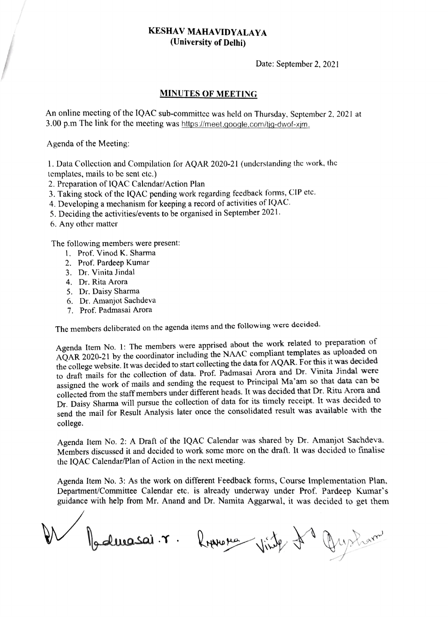## KESHAV MAHAVIDYALAYA (University of Delhi)

Date: September 2, 2021

## MINUTES OF MEETING

An online meeting of the IQAC sub-committee was held on Thursday, September 2, 2021 at 3.00 p.m The link for the meeting was https://meet.google.com/ig-dwof-xim.

Agenda of the Meeting:

1. Data Collection and Compilation for AQAR 2020-21 (understanding the work, thc Lemplates, mails to bc sent ctc.)

2. Preparation of IQAC Calendar/Action Plan

3. Taking stock of the 1QAC pending work regarding fecdback forms, CIP etc.

4. Developing a mechanism for keeping a record of activities of 1QAC.

5. Deciding the activities/events to be organised in September 2021

6. Any other matter

The following members were present:

- . Prof. Vinod K. Sharma
- 2. Prof. Pardeep Kumar
- 3. Dr. Vinita Jindal
- 4. Dr. Rita Arora
- 5. Dr. Daisy Sharma
- 6. Dr. Amanjot Sachdeva
- 7. Prof. Padmasai Arora

The members deliberated on the agenda items and the following were decided.

Agenda Item No. 1: The members were apprised about the work related to preparation of AQAR 2020-21 by the coordinator including the NAAC compliant templates as uploaded on the college website. It was decided to start collecting the data for AQAR. For this it was decided to draft mails for the collection of data. Prof. Padmasai Arora and Dr. Vinita Jindal were assigned the work of mails and sending the request to Principal Ma'am so that data can be collected from the staff members under different heads. It was decided that Dr. Ritu Arora and Dr. Daisy Sharma will pursue the collection of data for its timely receipt. It was decided to send the mail for Result Analysis later once the consolidated result was available with the college

Agenda Item No. 2: A Draft of the 1QAC Calendar was shared by Dr. Amanjot Sachdeva. Members discussed it and decided to work some more on the draft. It was decided to finalise the 1QAC Calendar/Plan of Action in the next meeting.

Agenda Item No. 3: As the work on different Feedback forms, Course Implementation Plan, Department/Committee Calendar etc. is already underway under Prof. Pardeep Kumar's guidance with help from Mr. Anand and Dr. Namita Aggarwal, it was decided to get them

Balmasai. r. Russieux Vinte de Guysham